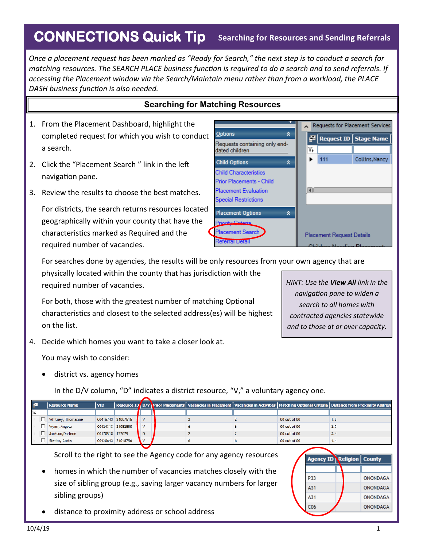## **CONNECTIONS Quick Tip** Searching for Resources and Sending Referrals

*Once a placement request has been marked as "Ready for Search," the next step is to conduct a search for matching resources. The SEARCH PLACE business function is required to do a search and to send referrals. If accessing the Placement window via the Search/Maintain menu rather than from a workload, the PLACE DASH business function is also needed.* 

## **Searching for Matching Resources**

- 1. From the Placement Dashboard, highlight the completed request for which you wish to conduct a search.
- 2. Click the "Placement Search " link in the left navigation pane.
- 3. Review the results to choose the best matches.

For districts, the search returns resources located geographically within your county that have the characteristics marked as Required and the required number of vacancies.



For searches done by agencies, the results will be only resources from your own agency that are

physically located within the county that has jurisdiction with the required number of vacancies.

For both, those with the greatest number of matching Optional characteristics and closest to the selected address(es) will be highest on the list.

4. Decide which homes you want to take a closer look at.

You may wish to consider:

district vs. agency homes

In the D/V column, "D" indicates a district resource, "V," a voluntary agency one.

| E | <b>Resource Name</b> | <b>VID</b>      |                   |   |                                                                                                                                                                                                                 |   |                          | Resource ID D/V Prior Placements   Vacancies in Placement   Vacancies in Activities   Matching Optional Criteria   Distance from Proximity Address |
|---|----------------------|-----------------|-------------------|---|-----------------------------------------------------------------------------------------------------------------------------------------------------------------------------------------------------------------|---|--------------------------|----------------------------------------------------------------------------------------------------------------------------------------------------|
| 下 |                      |                 |                   |   |                                                                                                                                                                                                                 |   |                          |                                                                                                                                                    |
|   | Whitney, Thomasine   |                 | 00416743 21007515 |   |                                                                                                                                                                                                                 |   | 00 out of 00             | 1.8                                                                                                                                                |
|   | Wynn, Angela         |                 | 00424313 21052550 | v |                                                                                                                                                                                                                 | 6 | 00 out of 00             | 2.9                                                                                                                                                |
|   | Jackson, Darlene     | 00170518 127079 |                   | D |                                                                                                                                                                                                                 |   | 00 out of 00             | 3.4                                                                                                                                                |
|   | Stelios, Costa       |                 | 00420643 21048756 |   |                                                                                                                                                                                                                 | 6 | 00 out of 00             | 4.4                                                                                                                                                |
|   | sibling groups)      |                 |                   |   | Scroll to the right to see the Agency code for any agency resources<br>homes in which the number of vacancies matches closely with the<br>size of sibling group (e.g., saving larger vacancy numbers for larger |   | P33<br>A31<br>A31<br>COL | <b>Agency ID Religion   County</b><br>ONONDAGA<br>ONONDAGA<br>ONONDAGA<br><b>ONOMDACA</b>                                                          |

distance to proximity address or school address

*HINT: Use the View All link in the navigation pane to widen a search to all homes with contracted agencies statewide* 

*and to those at or over capacity.*